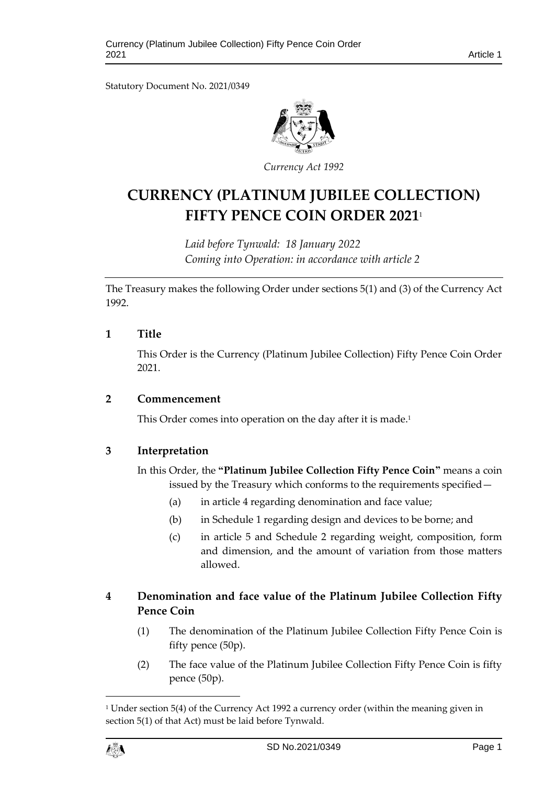Statutory Document No. 2021/0349



*Curre ncy Act 1992*

# **CURRENCY (PLATINUM JUBILEE COLLECTION) FIFTY PENCE COIN ORDER 2021**<sup>1</sup>

*Laid before Tynwald: 18 January 2022 Coming into Operation: in accordance with article 2*

The Treasury makes the following Order under sections 5(1) and (3) of the Currency Act 1992.

#### **1 Title**

This Order is the Currency (Platinum Jubilee Collection) Fifty Pence Coin Order 2021.

#### **2 Commencement**

This Order comes into operation on the day after it is made.<sup>1</sup>

#### **3 Interpretation**

In this Order, the **"Platinum Jubilee Collection Fifty Pence Coin"** means a coin issued by the Treasury which conforms to the requirements specified—

- (a) in article 4 regarding denomination and face value;
- (b) in Schedule 1 regarding design and devices to be borne; and
- (c) in article 5 and Schedule 2 regarding weight, composition, form and dimension, and the amount of variation from those matters allowed.

# **4 Denomination and face value of the Platinum Jubilee Collection Fifty Pence Coin**

- (1) The denomination of the Platinum Jubilee Collection Fifty Pence Coin is fifty pence (50p).
- (2) The face value of the Platinum Jubilee Collection Fifty Pence Coin is fifty pence (50p).

<sup>1</sup> Under section 5(4) of the Currency Act 1992 a currency order (within the meaning given in section 5(1) of that Act) must be laid before Tynwald.



1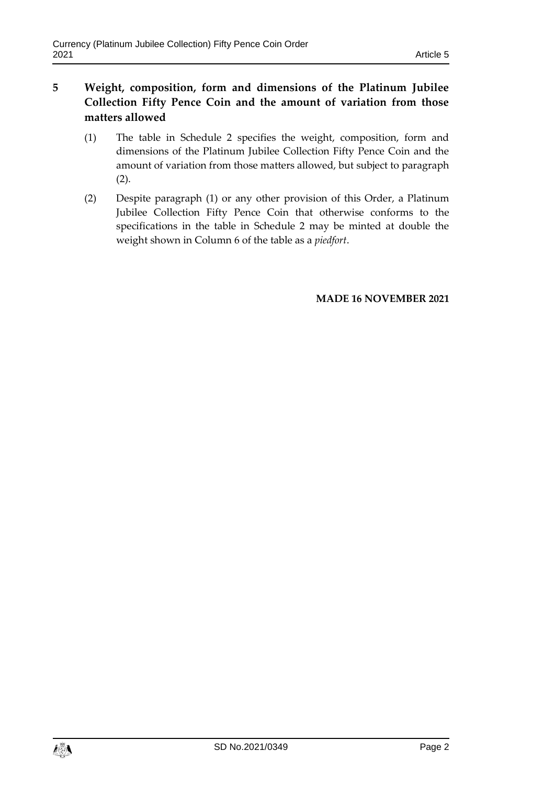- **5 Weight, composition, form and dimensions of the Platinum Jubilee Collection Fifty Pence Coin and the amount of variation from those matters allowed**
	- (1) The table in Schedule 2 specifies the weight, composition, form and dimensions of the Platinum Jubilee Collection Fifty Pence Coin and the amount of variation from those matters allowed, but subject to paragraph (2).
	- (2) Despite paragraph (1) or any other provision of this Order, a Platinum Jubilee Collection Fifty Pence Coin that otherwise conforms to the specifications in the table in Schedule 2 may be minted at double the weight shown in Column 6 of the table as a *piedfort*.

#### **MADE 16 NOVEMBER 2021**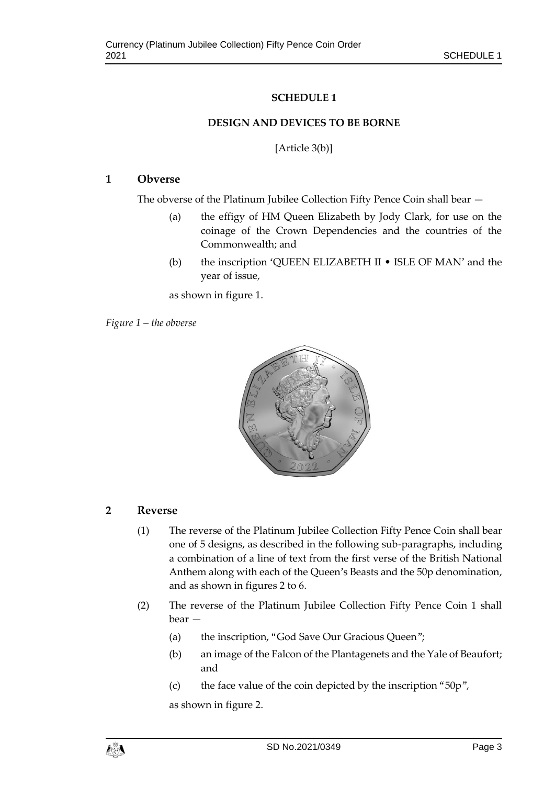### **SCHEDULE 1**

#### **DESIGN AND DEVICES TO BE BORNE**

[Article 3(b)]

#### **1 Obverse**

The obverse of the Platinum Jubilee Collection Fifty Pence Coin shall bear —

- (a) the effigy of HM Queen Elizabeth by Jody Clark, for use on the coinage of the Crown Dependencies and the countries of the Commonwealth; and
- (b) the inscription 'QUEEN ELIZABETH II ISLE OF MAN' and the year of issue,

as shown in figure 1.

*Figure 1 – the obverse*



#### **2 Reverse**

- (1) The reverse of the Platinum Jubilee Collection Fifty Pence Coin shall bear one of 5 designs, as described in the following sub-paragraphs, including a combination of a line of text from the first verse of the British National Anthem along with each of the Queen's Beasts and the 50p denomination, and as shown in figures 2 to 6.
- (2) The reverse of the Platinum Jubilee Collection Fifty Pence Coin 1 shall bear —
	- (a) the inscription, "God Save Our Gracious Queen";
	- (b) an image of the Falcon of the Plantagenets and the Yale of Beaufort; and
	- (c) the face value of the coin depicted by the inscription "50p",

as shown in figure 2.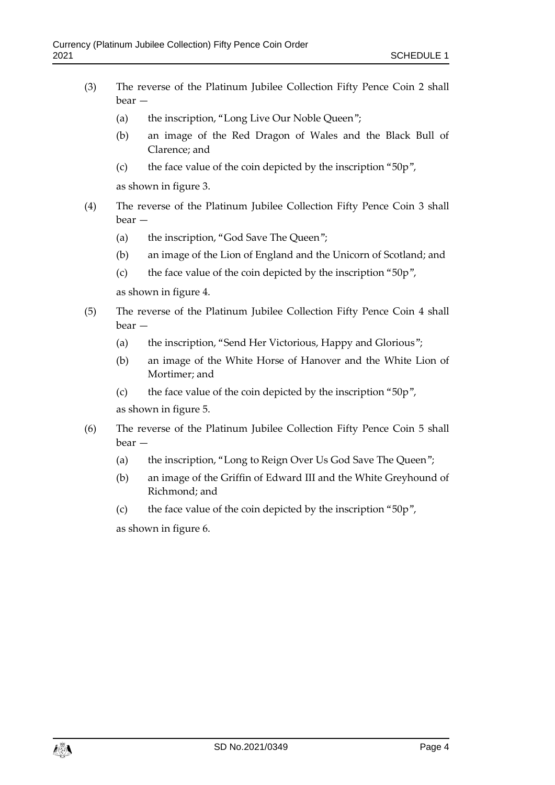- (3) The reverse of the Platinum Jubilee Collection Fifty Pence Coin 2 shall bear —
	- (a) the inscription, "Long Live Our Noble Queen";
	- (b) an image of the Red Dragon of Wales and the Black Bull of Clarence; and
	- (c) the face value of the coin depicted by the inscription "50p",

as shown in figure 3.

- (4) The reverse of the Platinum Jubilee Collection Fifty Pence Coin 3 shall bear —
	- (a) the inscription, "God Save The Queen";
	- (b) an image of the Lion of England and the Unicorn of Scotland; and
	- (c) the face value of the coin depicted by the inscription "50p",

as shown in figure 4.

- (5) The reverse of the Platinum Jubilee Collection Fifty Pence Coin 4 shall bear —
	- (a) the inscription, "Send Her Victorious, Happy and Glorious";
	- (b) an image of the White Horse of Hanover and the White Lion of Mortimer; and
	- (c) the face value of the coin depicted by the inscription "50p", as shown in figure 5.
- (6) The reverse of the Platinum Jubilee Collection Fifty Pence Coin 5 shall bear —
	- (a) the inscription, "Long to Reign Over Us God Save The Queen";
	- (b) an image of the Griffin of Edward III and the White Greyhound of Richmond; and
	- (c) the face value of the coin depicted by the inscription "50p",

as shown in figure 6.

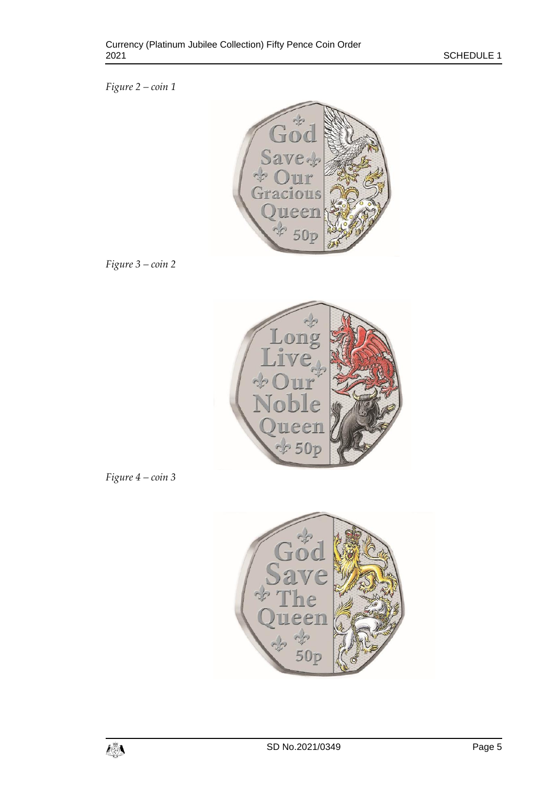*Figure 2 – coin 1*



*Figure 3 – coin 2*



*Figure 4 – coin 3*

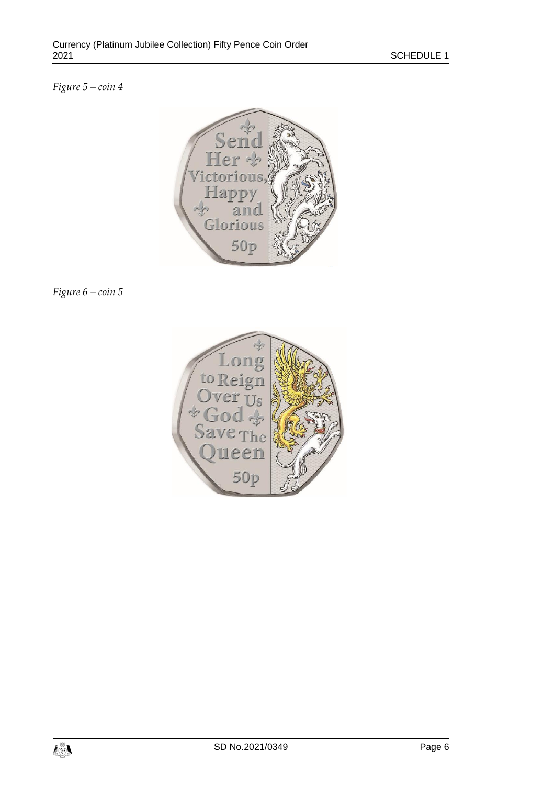# *Figure 5 – coin 4*



*Figure 6 – coin 5*

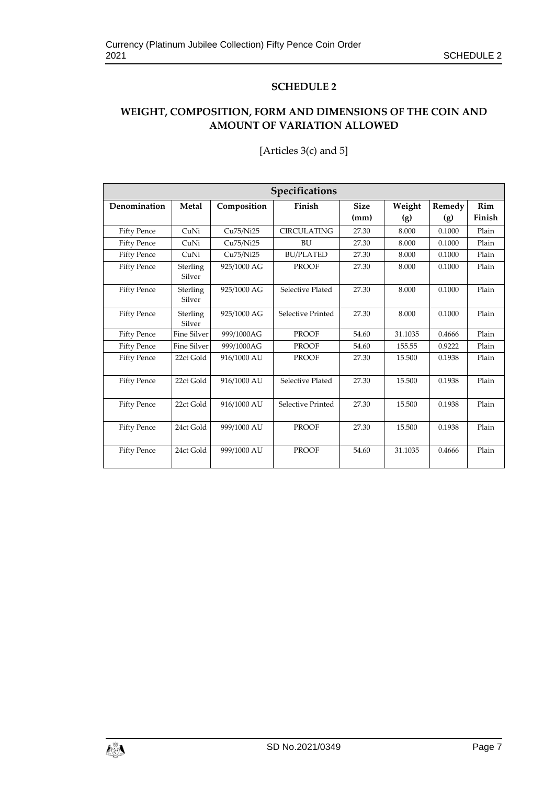#### **SCHEDULE 2**

# **WEIGHT, COMPOSITION, FORM AND DIMENSIONS OF THE COIN AND AMOUNT OF VARIATION ALLOWED**

| Specifications     |                    |             |                    |             |         |        |        |
|--------------------|--------------------|-------------|--------------------|-------------|---------|--------|--------|
| Denomination       | Metal              | Composition | Finish             | <b>Size</b> | Weight  | Remedy | Rim    |
|                    |                    |             |                    | (mm)        | (g)     | (g)    | Finish |
| <b>Fifty Pence</b> | CuNi               | Cu75/Ni25   | <b>CIRCULATING</b> | 27.30       | 8.000   | 0.1000 | Plain  |
| <b>Fifty Pence</b> | CuNi               | Cu75/Ni25   | BU                 | 27.30       | 8.000   | 0.1000 | Plain  |
| <b>Fifty Pence</b> | CuNi               | Cu75/Ni25   | <b>BU/PLATED</b>   | 27.30       | 8.000   | 0.1000 | Plain  |
| <b>Fifty Pence</b> | Sterling<br>Silver | 925/1000 AG | <b>PROOF</b>       | 27.30       | 8.000   | 0.1000 | Plain  |
| <b>Fifty Pence</b> | Sterling<br>Silver | 925/1000 AG | Selective Plated   | 27.30       | 8.000   | 0.1000 | Plain  |
| <b>Fifty Pence</b> | Sterling<br>Silver | 925/1000 AG | Selective Printed  | 27.30       | 8.000   | 0.1000 | Plain  |
| <b>Fifty Pence</b> | Fine Silver        | 999/1000AG  | <b>PROOF</b>       | 54.60       | 31.1035 | 0.4666 | Plain  |
| <b>Fifty Pence</b> | <b>Fine Silver</b> | 999/1000AG  | <b>PROOF</b>       | 54.60       | 155.55  | 0.9222 | Plain  |
| <b>Fifty Pence</b> | 22ct Gold          | 916/1000 AU | <b>PROOF</b>       | 27.30       | 15.500  | 0.1938 | Plain  |
| <b>Fifty Pence</b> | 22ct Gold          | 916/1000 AU | Selective Plated   | 27.30       | 15.500  | 0.1938 | Plain  |
| <b>Fifty Pence</b> | 22ct Gold          | 916/1000 AU | Selective Printed  | 27.30       | 15.500  | 0.1938 | Plain  |
| <b>Fifty Pence</b> | 24ct Gold          | 999/1000 AU | <b>PROOF</b>       | 27.30       | 15.500  | 0.1938 | Plain  |
| <b>Fifty Pence</b> | 24ct Gold          | 999/1000 AU | <b>PROOF</b>       | 54.60       | 31.1035 | 0.4666 | Plain  |

#### [Articles 3(c) and 5]